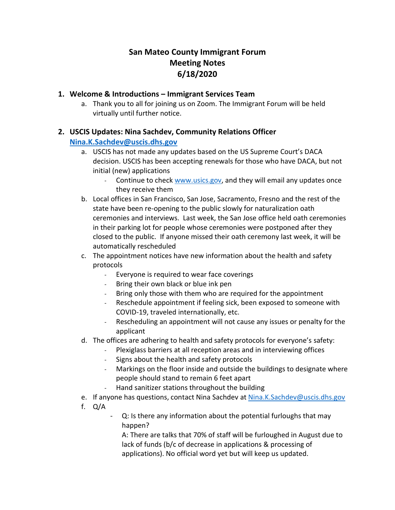# **San Mateo County Immigrant Forum Meeting Notes 6/18/2020**

#### **1. Welcome & Introductions – Immigrant Services Team**

a. Thank you to all for joining us on Zoom. The Immigrant Forum will be held virtually until further notice.

#### **2. USCIS Updates: Nina Sachdev, Community Relations Officer**

#### **[Nina.K.Sachdev@uscis.dhs.gov](mailto:Nina.K.Sachdev@uscis.dhs.gov)**

- a. USCIS has not made any updates based on the US Supreme Court's DACA decision. USCIS has been accepting renewals for those who have DACA, but not initial (new) applications
	- Continue to chec[k www.usics.gov,](https://protect-us.mimecast.com/s/e5rXC31ryRcoWq8XUgX5hM) and they will email any updates once they receive them
- b. Local offices in San Francisco, San Jose, Sacramento, Fresno and the rest of the state have been re-opening to the public slowly for naturalization oath ceremonies and interviews. Last week, the San Jose office held oath ceremonies in their parking lot for people whose ceremonies were postponed after they closed to the public. If anyone missed their oath ceremony last week, it will be automatically rescheduled
- c. The appointment notices have new information about the health and safety protocols
	- Everyone is required to wear face coverings
	- Bring their own black or blue ink pen
	- Bring only those with them who are required for the appointment
	- Reschedule appointment if feeling sick, been exposed to someone with COVID-19, traveled internationally, etc.
	- Rescheduling an appointment will not cause any issues or penalty for the applicant
- d. The offices are adhering to health and safety protocols for everyone's safety:
	- Plexiglass barriers at all reception areas and in interviewing offices
	- Signs about the health and safety protocols
	- Markings on the floor inside and outside the buildings to designate where people should stand to remain 6 feet apart
	- Hand sanitizer stations throughout the building
- e. If anyone has questions, contact Nina Sachdev at [Nina.K.Sachdev@uscis.dhs.gov](mailto:Nina.K.Sachdev@uscis.dhs.gov)
- f. Q/A
	- Q: Is there any information about the potential furloughs that may happen?

A: There are talks that 70% of staff will be furloughed in August due to lack of funds (b/c of decrease in applications & processing of applications). No official word yet but will keep us updated.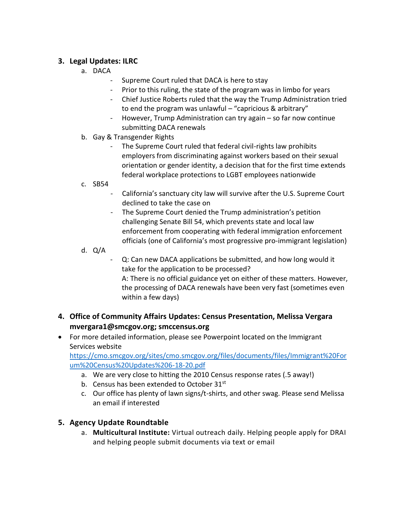### **3. Legal Updates: ILRC**

- a. DACA
	- Supreme Court ruled that DACA is here to stay
	- Prior to this ruling, the state of the program was in limbo for years
	- Chief Justice Roberts ruled that the way the Trump Administration tried to end the program was unlawful – "capricious & arbitrary"
	- However, Trump Administration can try again so far now continue submitting DACA renewals
- b. Gay & Transgender Rights
	- The Supreme Court ruled that federal civil-rights law prohibits employers from discriminating against workers based on their sexual orientation or gender identity, a decision that for the first time extends federal workplace protections to LGBT employees nationwide
- c. SB54
	- California's sanctuary city law will survive after the U.S. Supreme Court declined to take the case on
	- The Supreme Court denied the Trump administration's petition challenging Senate Bill 54, which prevents state and local law enforcement from cooperating with federal immigration enforcement officials (one of California's most progressive pro-immigrant legislation)
- d. Q/A
	- Q: Can new DACA applications be submitted, and how long would it take for the application to be processed? A: There is no official guidance yet on either of these matters. However, the processing of DACA renewals have been very fast (sometimes even within a few days)
- **4. Office of Community Affairs Updates: Census Presentation, Melissa Vergara mvergara1@smcgov.org; smccensus.org**
- For more detailed information, please see Powerpoint located on the Immigrant Services website

[https://cmo.smcgov.org/sites/cmo.smcgov.org/files/documents/files/Immigrant%20For](https://cmo.smcgov.org/sites/cmo.smcgov.org/files/documents/files/Immigrant%20Forum%20Census%20Updates%206-18-20.pdf) [um%20Census%20Updates%206-18-20.pdf](https://cmo.smcgov.org/sites/cmo.smcgov.org/files/documents/files/Immigrant%20Forum%20Census%20Updates%206-18-20.pdf)

- a. We are very close to hitting the 2010 Census response rates (.5 away!)
- b. Census has been extended to October 31<sup>st</sup>
- c. Our office has plenty of lawn signs/t-shirts, and other swag. Please send Melissa an email if interested

# **5. Agency Update Roundtable**

a. **Multicultural Institute:** Virtual outreach daily. Helping people apply for DRAI and helping people submit documents via text or email